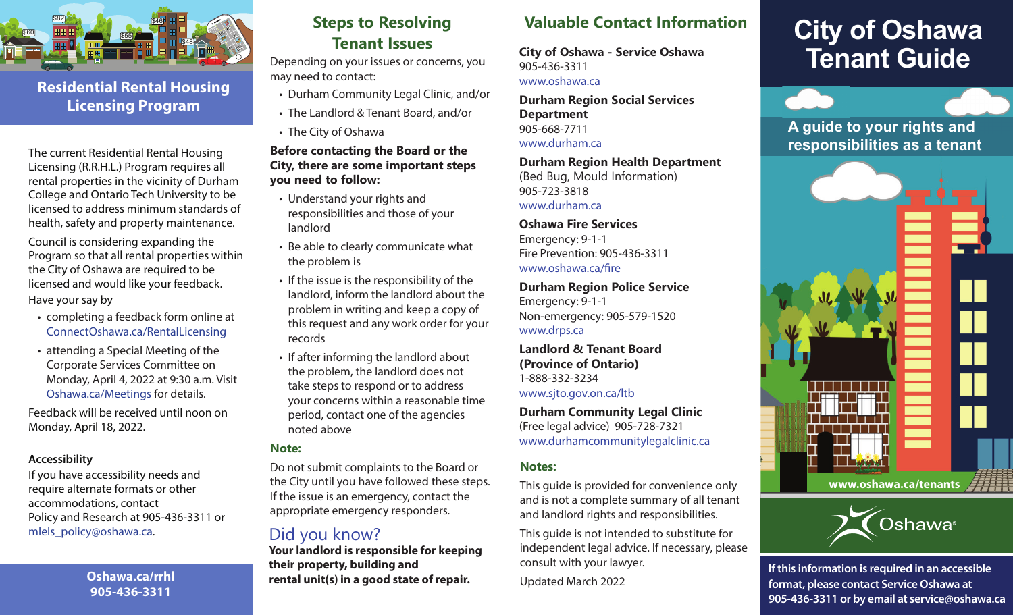

### **Residential Rental Housing Licensing Program**

The current Residential Rental Housing Licensing (R.R.H.L.) Program requires all rental properties in the vicinity of Durham College and Ontario Tech University to be licensed to address minimum standards of health, safety and property maintenance.

Council is considering expanding the Program so that all rental properties within the City of Oshawa are required to be licensed and would like your feedback. Have your say by

- completing a feedback form online at ConnectOshawa.ca/RentalLicensing
- attending a Special Meeting of the Corporate Services Committee on Monday, April 4, 2022 at 9:30 a.m. Visit Oshawa.ca/Meetings for details.

Feedback will be received until noon on Monday, April 18, 2022.

#### **Accessibility**

If you have accessibility needs and require alternate formats or other accommodations, contact Policy and Research at 905-436-3311 or [mlels\\_policy@oshawa.ca.](mailto:mlels_policy@oshawa.ca)

> **Oshawa.ca/rrhl 905-436-3311**

### **Steps to Resolving Tenant Issues**

Depending on your issues or concerns, you may need to contact:

- Durham Community Legal Clinic, and/or
- The Landlord & Tenant Board, and/or
- The City of Oshawa

#### **Before contacting the Board or the City, there are some important steps you need to follow:**

- Understand your rights and responsibilities and those of your landlord
- Be able to clearly communicate what the problem is
- If the issue is the responsibility of the landlord, inform the landlord about the problem in writing and keep a copy of this request and any work order for your records
- If after informing the landlord about the problem, the landlord does not take steps to respond or to address your concerns within a reasonable time period, contact one of the agencies noted above

#### **Note:**

Do not submit complaints to the Board or the City until you have followed these steps. If the issue is an emergency, contact the appropriate emergency responders.

### Did you know?

**Your landlord is responsible for keeping their property, building and rental unit(s) in a good state of repair.** 

### **Valuable Contact Information**

**City of Oshawa - Service Oshawa**  905-436-3311 <www.oshawa.ca>

**Durham Region Social Services Department**  905-668-7711 <www.durham.ca>

#### **Durham Region Health Department**

(Bed Bug, Mould Information) 905-723-3818 <www.durham.ca>

**Oshawa Fire Services**  Emergency: 9-1-1 Fire Prevention: 905-436-3311 [www.oshawa.ca/fre](www.oshawa.ca/fire) 

**Durham Region Police Service**  Emergency: 9-1-1 Non-emergency: 905-579-1520 <www.drps.ca>

**Landlord & Tenant Board (Province of Ontario)**  1-888-332-3234 <www.sjto.gov.on.ca/ltb>

**Durham Community Legal Clinic**  (Free legal advice) 905-728-7321 <www.durhamcommunitylegalclinic.ca>

#### **Notes:**

This guide is provided for convenience only and is not a complete summary of all tenant and landlord rights and responsibilities.

This guide is not intended to substitute for independent legal advice. If necessary, please consult with your lawyer.

Updated March 2022

# **City of Oshawa Tenant Guide**

### **A guide to your rights and responsibilities as a tenant**





**If this information is required in an accessible format, please contact Service Oshawa at 905-436-3311 or by email at service@oshawa.ca**